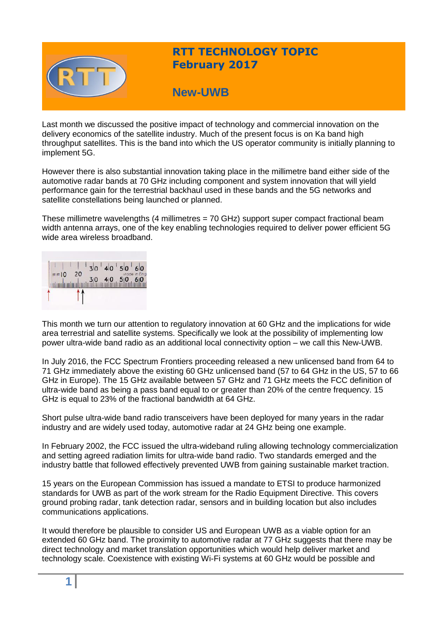

# **RTT TECHNOLOGY TOPIC February 2017**

# **New-UWB**

Last month we discussed the positive impact of technology and commercial innovation on the delivery economics of the satellite industry. Much of the present focus is on Ka band high throughput satellites. This is the band into which the US operator community is initially planning to implement 5G.

However there is also substantial innovation taking place in the millimetre band either side of the automotive radar bands at 70 GHz including component and system innovation that will yield performance gain for the terrestrial backhaul used in these bands and the 5G networks and satellite constellations being launched or planned.

These millimetre wavelengths (4 millimetres = 70 GHz) support super compact fractional beam width antenna arrays, one of the key enabling technologies required to deliver power efficient 5G wide area wireless broadband.



This month we turn our attention to regulatory innovation at 60 GHz and the implications for wide area terrestrial and satellite systems. Specifically we look at the possibility of implementing low power ultra-wide band radio as an additional local connectivity option – we call this New-UWB.

In July 2016, the FCC Spectrum Frontiers proceeding released a new unlicensed band from 64 to 71 GHz immediately above the existing 60 GHz unlicensed band (57 to 64 GHz in the US, 57 to 66 GHz in Europe). The 15 GHz available between 57 GHz and 71 GHz meets the FCC definition of ultra-wide band as being a pass band equal to or greater than 20% of the centre frequency. 15 GHz is equal to 23% of the fractional bandwidth at 64 GHz.

Short pulse ultra-wide band radio transceivers have been deployed for many years in the radar industry and are widely used today, automotive radar at 24 GHz being one example.

In February 2002, the FCC issued the ultra-wideband ruling allowing technology commercialization and setting agreed radiation limits for ultra-wide band radio. Two standards emerged and the industry battle that followed effectively prevented UWB from gaining sustainable market traction.

15 years on the European Commission has issued a mandate to ETSI to produce harmonized standards for UWB as part of the work stream for the Radio Equipment Directive. This covers ground probing radar, tank detection radar, sensors and in building location but also includes communications applications.

It would therefore be plausible to consider US and European UWB as a viable option for an extended 60 GHz band. The proximity to automotive radar at 77 GHz suggests that there may be direct technology and market translation opportunities which would help deliver market and technology scale. Coexistence with existing Wi-Fi systems at 60 GHz would be possible and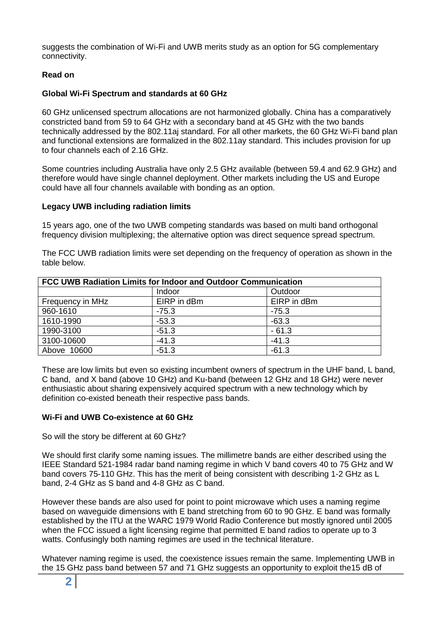suggests the combination of Wi-Fi and UWB merits study as an option for 5G complementary connectivity.

# **Read on**

# **Global Wi-Fi Spectrum and standards at 60 GHz**

60 GHz unlicensed spectrum allocations are not harmonized globally. China has a comparatively constricted band from 59 to 64 GHz with a secondary band at 45 GHz with the two bands technically addressed by the 802.11aj standard. For all other markets, the 60 GHz Wi-Fi band plan and functional extensions are formalized in the 802.11ay standard. This includes provision for up to four channels each of 2.16 GHz.

Some countries including Australia have only 2.5 GHz available (between 59.4 and 62.9 GHz) and therefore would have single channel deployment. Other markets including the US and Europe could have all four channels available with bonding as an option.

# **Legacy UWB including radiation limits**

15 years ago, one of the two UWB competing standards was based on multi band orthogonal frequency division multiplexing; the alternative option was direct sequence spread spectrum.

The FCC UWB radiation limits were set depending on the frequency of operation as shown in the table below.

| <b>FCC UWB Radiation Limits for Indoor and Outdoor Communication</b> |             |             |  |
|----------------------------------------------------------------------|-------------|-------------|--|
|                                                                      | Indoor      | Outdoor     |  |
| Frequency in MHz                                                     | EIRP in dBm | EIRP in dBm |  |
| 960-1610                                                             | $-75.3$     | $-75.3$     |  |
| 1610-1990                                                            | $-53.3$     | $-63.3$     |  |
| 1990-3100                                                            | $-51.3$     | $-61.3$     |  |
| 3100-10600                                                           | $-41.3$     | $-41.3$     |  |
| Above 10600                                                          | $-51.3$     | $-61.3$     |  |

These are low limits but even so existing incumbent owners of spectrum in the UHF band, L band, C band, and X band (above 10 GHz) and Ku-band (between 12 GHz and 18 GHz) were never enthusiastic about sharing expensively acquired spectrum with a new technology which by definition co-existed beneath their respective pass bands.

# **Wi-Fi and UWB Co-existence at 60 GHz**

# So will the story be different at 60 GHz?

We should first clarify some naming issues. The millimetre bands are either described using the IEEE Standard 521-1984 radar band naming regime in which V band covers 40 to 75 GHz and W band covers 75-110 GHz. This has the merit of being consistent with describing 1-2 GHz as L band, 2-4 GHz as S band and 4-8 GHz as C band.

However these bands are also used for point to point microwave which uses a naming regime based on waveguide dimensions with E band stretching from 60 to 90 GHz. E band was formally established by the ITU at the WARC 1979 World Radio Conference but mostly ignored until 2005 when the FCC issued a light licensing regime that permitted E band radios to operate up to 3 watts. Confusingly both naming regimes are used in the technical literature.

Whatever naming regime is used, the coexistence issues remain the same. Implementing UWB in the 15 GHz pass band between 57 and 71 GHz suggests an opportunity to exploit the15 dB of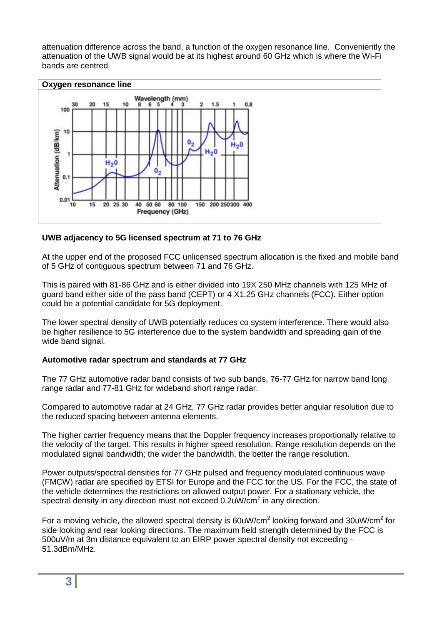attenuation difference across the band, a function of the oxygen resonance line. Conveniently the attenuation of the UWB signal would be at its highest around 60 GHz which is where the Wi-Fi bands are centred.



# **UWB adjacency to 5G licensed spectrum at 71 to 76 GHz**

At the upper end of the proposed FCC unlicensed spectrum allocation is the fixed and mobile band of 5 GHz of contiguous spectrum between 71 and 76 GHz.

This is paired with 81-86 GHz and is either divided into 19X 250 MHz channels with 125 MHz of guard band either side of the pass band (CEPT) or 4 X1.25 GHz channels (FCC). Either option could be a potential candidate for 5G deployment.

The lower spectral density of UWB potentially reduces co system interference. There would also be higher resilience to 5G interference due to the system bandwidth and spreading gain of the wide band signal.

# **Automotive radar spectrum and standards at 77 GHz**

The 77 GHz automotive radar band consists of two sub bands, 76-77 GHz for narrow band long range radar and 77-81 GHz for wideband short range radar.

Compared to automotive radar at 24 GHz, 77 GHz radar provides better angular resolution due to the reduced spacing between antenna elements.

The higher carrier frequency means that the Doppler frequency increases proportionally relative to the velocity of the target. This results in higher speed resolution. Range resolution depends on the modulated signal bandwidth; the wider the bandwidth, the better the range resolution.

Power outputs/spectral densities for 77 GHz pulsed and frequency modulated continuous wave (FMCW) radar are specified by ETSI for Europe and the FCC for the US. For the FCC, the state of the vehicle determines the restrictions on allowed output power. For a stationary vehicle, the spectral density in any direction must not exceed 0.2uW/cm<sup>2</sup> in any direction.

For a moving vehicle, the allowed spectral density is 60uW/cm<sup>2</sup> looking forward and 30uW/cm<sup>2</sup> for side looking and rear looking directions. The maximum field strength determined by the FCC is 500uV/m at 3m distance equivalent to an EIRP power spectral density not exceeding - 51.3dBm/MHz.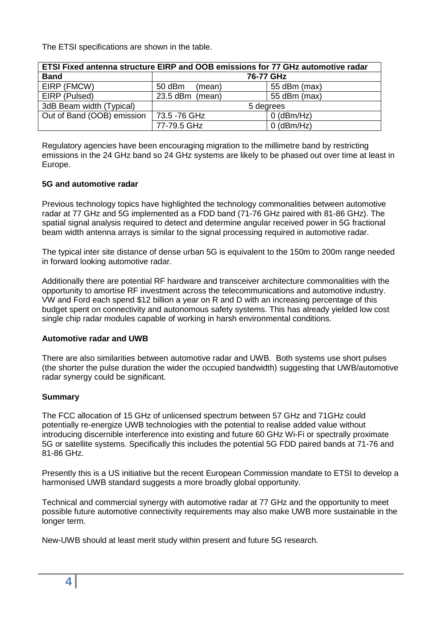The ETSI specifications are shown in the table.

| ETSI Fixed antenna structure EIRP and OOB emissions for 77 GHz automotive radar |                   |              |  |
|---------------------------------------------------------------------------------|-------------------|--------------|--|
| <b>Band</b>                                                                     | 76-77 GHz         |              |  |
| EIRP (FMCW)                                                                     | 50 dBm<br>(mean)  | 55 dBm (max) |  |
| EIRP (Pulsed)                                                                   | $23.5$ dBm (mean) | 55 dBm (max) |  |
| 3dB Beam width (Typical)                                                        | 5 degrees         |              |  |
| Out of Band (OOB) emission                                                      | 73.5 -76 GHz      | $0$ (dBm/Hz) |  |
|                                                                                 | 77-79.5 GHz       | $0$ (dBm/Hz) |  |

Regulatory agencies have been encouraging migration to the millimetre band by restricting emissions in the 24 GHz band so 24 GHz systems are likely to be phased out over time at least in Europe.

# **5G and automotive radar**

Previous technology topics have highlighted the technology commonalities between automotive radar at 77 GHz and 5G implemented as a FDD band (71-76 GHz paired with 81-86 GHz). The spatial signal analysis required to detect and determine angular received power in 5G fractional beam width antenna arrays is similar to the signal processing required in automotive radar.

The typical inter site distance of dense urban 5G is equivalent to the 150m to 200m range needed in forward looking automotive radar.

Additionally there are potential RF hardware and transceiver architecture commonalities with the opportunity to amortise RF investment across the telecommunications and automotive industry. VW and Ford each spend \$12 billion a year on R and D with an increasing percentage of this budget spent on connectivity and autonomous safety systems. This has already yielded low cost single chip radar modules capable of working in harsh environmental conditions.

# **Automotive radar and UWB**

There are also similarities between automotive radar and UWB. Both systems use short pulses (the shorter the pulse duration the wider the occupied bandwidth) suggesting that UWB/automotive radar synergy could be significant.

# **Summary**

The FCC allocation of 15 GHz of unlicensed spectrum between 57 GHz and 71GHz could potentially re-energize UWB technologies with the potential to realise added value without introducing discernible interference into existing and future 60 GHz Wi-Fi or spectrally proximate 5G or satellite systems. Specifically this includes the potential 5G FDD paired bands at 71-76 and 81-86 GHz.

Presently this is a US initiative but the recent European Commission mandate to ETSI to develop a harmonised UWB standard suggests a more broadly global opportunity.

Technical and commercial synergy with automotive radar at 77 GHz and the opportunity to meet possible future automotive connectivity requirements may also make UWB more sustainable in the longer term.

New-UWB should at least merit study within present and future 5G research.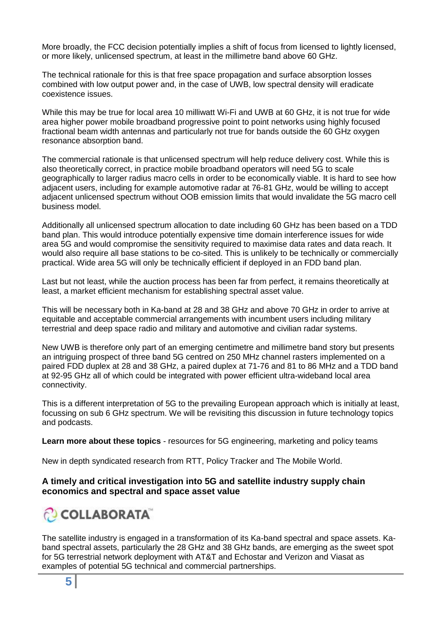More broadly, the FCC decision potentially implies a shift of focus from licensed to lightly licensed, or more likely, unlicensed spectrum, at least in the millimetre band above 60 GHz.

The technical rationale for this is that free space propagation and surface absorption losses combined with low output power and, in the case of UWB, low spectral density will eradicate coexistence issues.

While this may be true for local area 10 milliwatt Wi-Fi and UWB at 60 GHz, it is not true for wide area higher power mobile broadband progressive point to point networks using highly focused fractional beam width antennas and particularly not true for bands outside the 60 GHz oxygen resonance absorption band.

The commercial rationale is that unlicensed spectrum will help reduce delivery cost. While this is also theoretically correct, in practice mobile broadband operators will need 5G to scale geographically to larger radius macro cells in order to be economically viable. It is hard to see how adjacent users, including for example automotive radar at 76-81 GHz, would be willing to accept adjacent unlicensed spectrum without OOB emission limits that would invalidate the 5G macro cell business model.

Additionally all unlicensed spectrum allocation to date including 60 GHz has been based on a TDD band plan. This would introduce potentially expensive time domain interference issues for wide area 5G and would compromise the sensitivity required to maximise data rates and data reach. It would also require all base stations to be co-sited. This is unlikely to be technically or commercially practical. Wide area 5G will only be technically efficient if deployed in an FDD band plan.

Last but not least, while the auction process has been far from perfect, it remains theoretically at least, a market efficient mechanism for establishing spectral asset value.

This will be necessary both in Ka-band at 28 and 38 GHz and above 70 GHz in order to arrive at equitable and acceptable commercial arrangements with incumbent users including military terrestrial and deep space radio and military and automotive and civilian radar systems.

New UWB is therefore only part of an emerging centimetre and millimetre band story but presents an intriguing prospect of three band 5G centred on 250 MHz channel rasters implemented on a paired FDD duplex at 28 and 38 GHz, a paired duplex at 71-76 and 81 to 86 MHz and a TDD band at 92-95 GHz all of which could be integrated with power efficient ultra-wideband local area connectivity.

This is a different interpretation of 5G to the prevailing European approach which is initially at least, focussing on sub 6 GHz spectrum. We will be revisiting this discussion in future technology topics and podcasts.

**Learn more about these topics** - resources for 5G engineering, marketing and policy teams

New in depth syndicated research from RTT, Policy Tracker and The Mobile World.

# **A timely and critical investigation into 5G and satellite industry supply chain economics and spectral and space asset value**

# COLLABORATA

The satellite industry is engaged in a transformation of its Ka-band spectral and space assets. Kaband spectral assets, particularly the 28 GHz and 38 GHz bands, are emerging as the sweet spot for 5G terrestrial network deployment with AT&T and Echostar and Verizon and Viasat as examples of potential 5G technical and commercial partnerships.